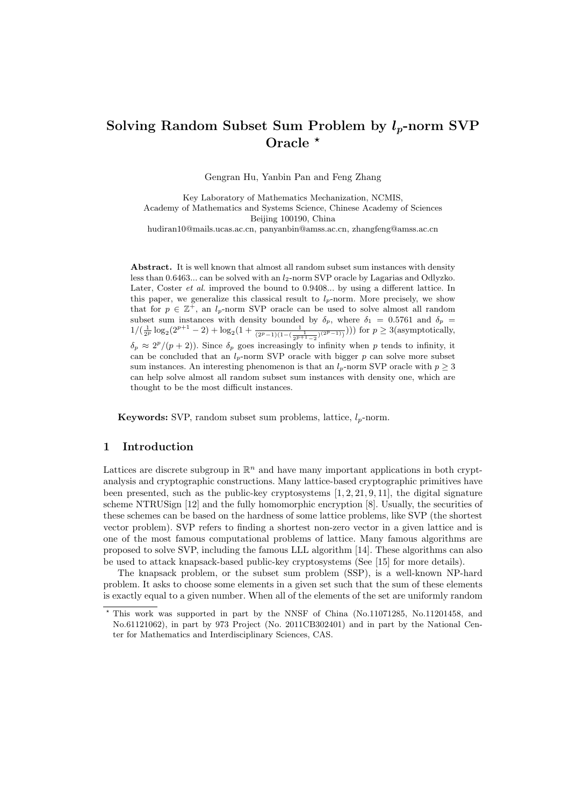# Solving Random Subset Sum Problem by  $l_p$ -norm SVP Oracle  $*$

Gengran Hu, Yanbin Pan and Feng Zhang

Key Laboratory of Mathematics Mechanization, NCMIS, Academy of Mathematics and Systems Science, Chinese Academy of Sciences Beijing 100190, China hudiran10@mails.ucas.ac.cn, panyanbin@amss.ac.cn, zhangfeng@amss.ac.cn

Abstract. It is well known that almost all random subset sum instances with density less than  $0.6463...$  can be solved with an  $l_2$ -norm SVP oracle by Lagarias and Odlyzko. Later, Coster *et al.* improved the bound to 0.9408... by using a different lattice. In this paper, we generalize this classical result to  $l_p$ -norm. More precisely, we show that for  $p \in \mathbb{Z}^+$ , an  $l_p$ -norm SVP oracle can be used to solve almost all random subset sum instances with density bounded by  $\delta_p$ , where  $\delta_1 = 0.5761$  and  $\delta_p =$  $1/(\frac{1}{2^p} \log_2(2^{p+1} - 2) + \log_2(1 + \frac{1}{(2^p-1)(1-(\frac{1}{2^p+1-2})^{(2^p-1)})}))$  for  $p \ge 3$  (asymptotically,  $\delta_p \approx 2^p/(p+2)$ ). Since  $\delta_p$  goes increasingly to infinity when p tends to infinity, it can be concluded that an  $l_p$ -norm SVP oracle with bigger p can solve more subset sum instances. An interesting phenomenon is that an  $l_p$ -norm SVP oracle with  $p \geq 3$ can help solve almost all random subset sum instances with density one, which are thought to be the most difficult instances.

**Keywords:** SVP, random subset sum problems, lattice,  $l_p$ -norm.

# 1 Introduction

Lattices are discrete subgroup in  $\mathbb{R}^n$  and have many important applications in both cryptanalysis and cryptographic constructions. Many lattice-based cryptographic primitives have been presented, such as the public-key cryptosystems  $[1, 2, 21, 9, 11]$ , the digital signature scheme NTRUSign [12] and the fully homomorphic encryption [8]. Usually, the securities of these schemes can be based on the hardness of some lattice problems, like SVP (the shortest vector problem). SVP refers to finding a shortest non-zero vector in a given lattice and is one of the most famous computational problems of lattice. Many famous algorithms are proposed to solve SVP, including the famous LLL algorithm [14]. These algorithms can also be used to attack knapsack-based public-key cryptosystems (See [15] for more details).

The knapsack problem, or the subset sum problem (SSP), is a well-known NP-hard problem. It asks to choose some elements in a given set such that the sum of these elements is exactly equal to a given number. When all of the elements of the set are uniformly random

<sup>?</sup> This work was supported in part by the NNSF of China (No.11071285, No.11201458, and No.61121062), in part by 973 Project (No. 2011CB302401) and in part by the National Center for Mathematics and Interdisciplinary Sciences, CAS.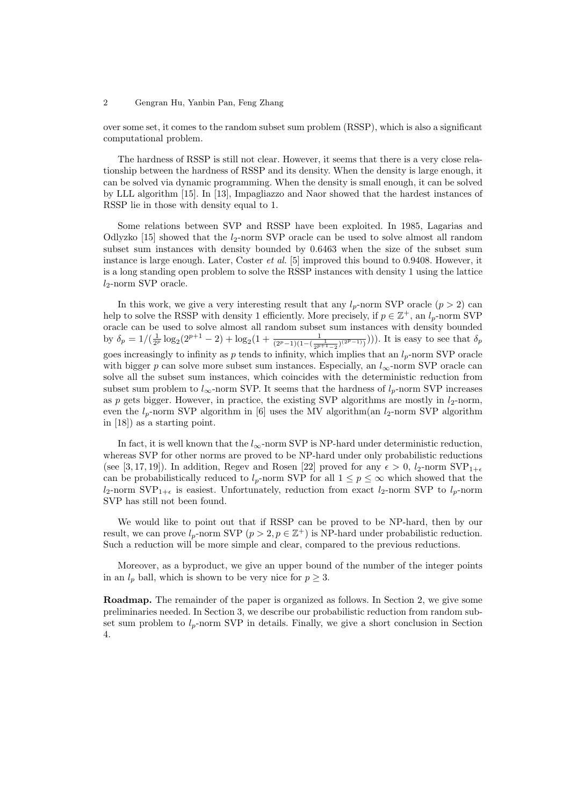over some set, it comes to the random subset sum problem (RSSP), which is also a significant computational problem.

The hardness of RSSP is still not clear. However, it seems that there is a very close relationship between the hardness of RSSP and its density. When the density is large enough, it can be solved via dynamic programming. When the density is small enough, it can be solved by LLL algorithm [15]. In [13], Impagliazzo and Naor showed that the hardest instances of RSSP lie in those with density equal to 1.

Some relations between SVP and RSSP have been exploited. In 1985, Lagarias and Odlyzko [15] showed that the  $l_2$ -norm SVP oracle can be used to solve almost all random subset sum instances with density bounded by 0.6463 when the size of the subset sum instance is large enough. Later, Coster *et al.* [5] improved this bound to  $0.9408$ . However, it is a long standing open problem to solve the RSSP instances with density 1 using the lattice  $l_2$ -norm SVP oracle.

In this work, we give a very interesting result that any  $l_p$ -norm SVP oracle  $(p > 2)$  can help to solve the RSSP with density 1 efficiently. More precisely, if  $p \in \mathbb{Z}^+$ , an  $l_p$ -norm SVP oracle can be used to solve almost all random subset sum instances with density bounded by  $\delta_p = 1/(\frac{1}{2^p} \log_2(2^{p+1} - 2) + \log_2(1 + \frac{1}{(2^p-1)(1-(\frac{1}{2^{p+1}-2})^{(2^p-1)})}))$ . It is easy to see that  $\delta_p$ goes increasingly to infinity as p tends to infinity, which implies that an  $l_p$ -norm SVP oracle with bigger p can solve more subset sum instances. Especially, an  $l_{\infty}$ -norm SVP oracle can solve all the subset sum instances, which coincides with the deterministic reduction from subset sum problem to  $l_{\infty}$ -norm SVP. It seems that the hardness of  $l_p$ -norm SVP increases as p gets bigger. However, in practice, the existing SVP algorithms are mostly in  $l_2$ -norm, even the  $l_p$ -norm SVP algorithm in [6] uses the MV algorithm (an  $l_2$ -norm SVP algorithm in [18]) as a starting point.

In fact, it is well known that the  $l_{\infty}$ -norm SVP is NP-hard under deterministic reduction, whereas SVP for other norms are proved to be NP-hard under only probabilistic reductions (see [3, 17, 19]). In addition, Regev and Rosen [22] proved for any  $\epsilon > 0$ ,  $l_2$ -norm SVP<sub>1+ $\epsilon$ </sub> can be probabilistically reduced to  $l_p$ -norm SVP for all  $1 \leq p \leq \infty$  which showed that the  $l_2$ -norm SVP<sub>1+ $\epsilon$ </sub> is easiest. Unfortunately, reduction from exact  $l_2$ -norm SVP to  $l_p$ -norm SVP has still not been found.

We would like to point out that if RSSP can be proved to be NP-hard, then by our result, we can prove  $l_p$ -norm SVP  $(p > 2, p \in \mathbb{Z}^+)$  is NP-hard under probabilistic reduction. Such a reduction will be more simple and clear, compared to the previous reductions.

Moreover, as a byproduct, we give an upper bound of the number of the integer points in an  $l_p$  ball, which is shown to be very nice for  $p \geq 3$ .

Roadmap. The remainder of the paper is organized as follows. In Section 2, we give some preliminaries needed. In Section 3, we describe our probabilistic reduction from random subset sum problem to  $l_p$ -norm SVP in details. Finally, we give a short conclusion in Section 4.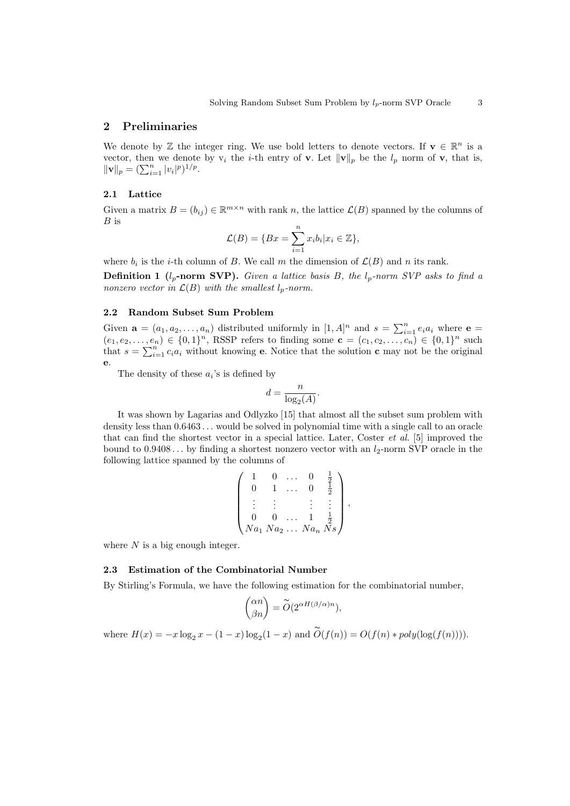## 2 Preliminaries

We denote by Z the integer ring. We use bold letters to denote vectors. If  $\mathbf{v} \in \mathbb{R}^n$  is a vector, then we denote by  $v_i$  the *i*-th entry of **v**. Let  $||\mathbf{v}||_p$  be the  $l_p$  norm of **v**, that is, vector, then we denote<br> $\|\mathbf{v}\|_p = (\sum_{i=1}^n |v_i|^p)^{1/p}.$ 

## 2.1 Lattice

Given a matrix  $B = (b_{ij}) \in \mathbb{R}^{m \times n}$  with rank n, the lattice  $\mathcal{L}(B)$  spanned by the columns of  $B$  is

$$
\mathcal{L}(B) = \{Bx = \sum_{i=1}^n x_i b_i | x_i \in \mathbb{Z} \},\
$$

where  $b_i$  is the *i*-th column of B. We call m the dimension of  $\mathcal{L}(B)$  and n its rank.

**Definition 1** ( $l_p$ -norm SVP). Given a lattice basis B, the  $l_p$ -norm SVP asks to find a nonzero vector in  $\mathcal{L}(B)$  with the smallest  $l_p$ -norm.

# 2.2 Random Subset Sum Problem

Given  $\mathbf{a} = (a_1, a_2, \dots, a_n)$  distributed uniformly in  $[1, A]^n$  and  $s = \sum_{i=1}^n e_i a_i$  where  $\mathbf{e} =$  $(e_1, e_2, \ldots, e_n) \in \{0, 1\}^n$ , RSSP refers to finding some  $\mathbf{c} = (c_1, c_2, \ldots, c_n) \in \{0, 1\}^n$  such that  $c_n$  are written to the contribution of the contribution of the contribution that  $s = \sum_{i=1}^{n} c_i a_i$  without knowing **e**. Notice that the solution **c** may not be the original e.

The density of these  $a_i$ 's is defined by

$$
d = \frac{n}{\log_2(A)}.
$$

It was shown by Lagarias and Odlyzko [15] that almost all the subset sum problem with density less than 0.6463 . . . would be solved in polynomial time with a single call to an oracle that can find the shortest vector in a special lattice. Later, Coster *et al.* [5] improved the bound to  $0.9408...$  by finding a shortest nonzero vector with an  $l_2$ -norm SVP oracle in the following lattice spanned by the columns of

|  |  | $Na_1 Na_2 \ldots Na_n Ns$ |  |
|--|--|----------------------------|--|

where  $N$  is a big enough integer.

## 2.3 Estimation of the Combinatorial Number

By Stirling's Formula, we have the following estimation for the combinatorial number,

$$
\binom{\alpha n}{\beta n} = \overset{\circ}{O}(2^{\alpha H(\beta/\alpha)n}),
$$

where  $H(x) = -x \log_2 x - (1-x) \log_2(1-x)$  and  $\widetilde{O}(f(n)) = O(f(n) * poly(\log(f(n))))$ .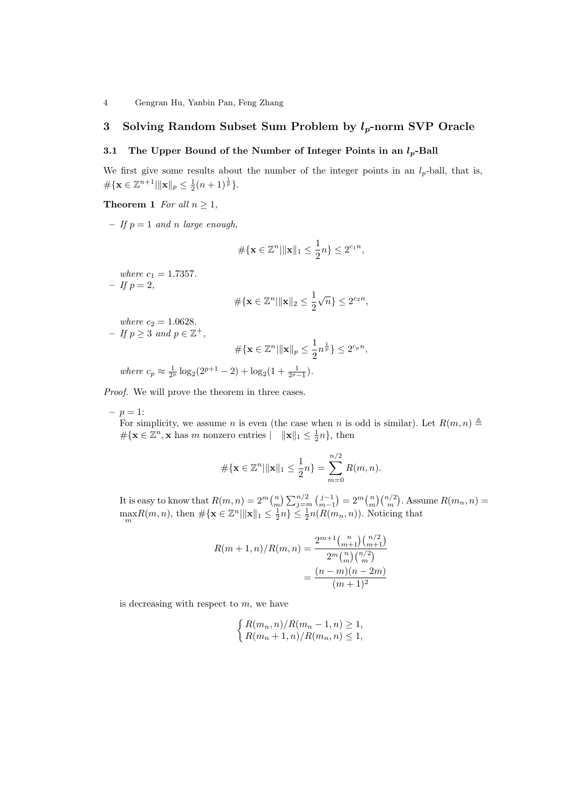# 3 Solving Random Subset Sum Problem by  $l_p$ -norm SVP Oracle

# 3.1 The Upper Bound of the Number of Integer Points in an  $l_p$ -Ball

We first give some results about the number of the integer points in an  $l_p$ -ball, that is,  $\#\{\mathbf{x} \in \mathbb{Z}^{n+1} | \|\mathbf{x}\|_p \leq \frac{1}{2}(n+1)^{\frac{1}{p}}\}.$ 

**Theorem 1** For all  $n \geq 1$ ,

– If  $p = 1$  and n large enough,

$$
\#\{\mathbf{x} \in \mathbb{Z}^n | \|\mathbf{x}\|_1 \le \frac{1}{2}n\} \le 2^{c_1 n},
$$

where  $c_1 = 1.7357$ .  $- If p = 2,$ 

$$
\#\{\mathbf{x}\in\mathbb{Z}^n|\|\mathbf{x}\|_2\leq\frac{1}{2}\sqrt{n}\}\leq 2^{c_2n},
$$

where  $c_2 = 1.0628$ .  $-If p \geq 3$  and  $p \in \mathbb{Z}^+,$  $\#\{\mathbf{x}\in\mathbb{Z}^n|\|\mathbf{x}\|_p\leq\frac{1}{2}\}$  $\frac{1}{2}n^{\frac{1}{p}}\} \leq 2^{c_p n},$ where  $c_p \approx \frac{1}{2^p} \log_2(2^{p+1} - 2) + \log_2(1 + \frac{1}{2^p - 1}).$ 

Proof. We will prove the theorem in three cases.

 $-p = 1$ :

For simplicity, we assume n is even (the case when n is odd is similar). Let  $R(m, n) \triangleq$  $\#\{\mathbf{x} \in \mathbb{Z}^n, \mathbf{x} \text{ has } m \text{ nonzero entries } \mid \mathbf{x} \leq \frac{1}{2}n\}, \text{ then}$ 

$$
\#\{\mathbf{x}\in\mathbb{Z}^n|\|\mathbf{x}\|_1\leq\frac{1}{2}n\}=\sum_{m=0}^{n/2}R(m,n).
$$

It is easy to know that  $R(m, n) = 2^m {n \choose m}$  $\sum_{j=m}^{n/2}$  $\binom{j-1}{m-1}$  $= 2^m {n \choose m} {n/2 \choose m}$ ¢ . Assume  $R(m_n, n) =$  $\max_{m} R(m, n)$ , then  $\#\{\mathbf{x} \in \mathbb{Z}^n | \|\mathbf{x}\|_1 \leq \frac{1}{2}n\} \leq \frac{1}{2}n(R(m_n, n))$ . Noticing that

$$
R(m+1,n)/R(m,n) = \frac{2^{m+1} {n \choose m+1} {n/2 \choose m+1}}{{2^m {n \choose m} {n/2 \choose m}}} = \frac{(n-m)(n-2m)}{(m+1)^2}
$$

is decreasing with respect to  $m$ , we have

$$
\begin{cases} R(m_n, n) / R(m_n - 1, n) \ge 1, \\ R(m_n + 1, n) / R(m_n, n) \le 1, \end{cases}
$$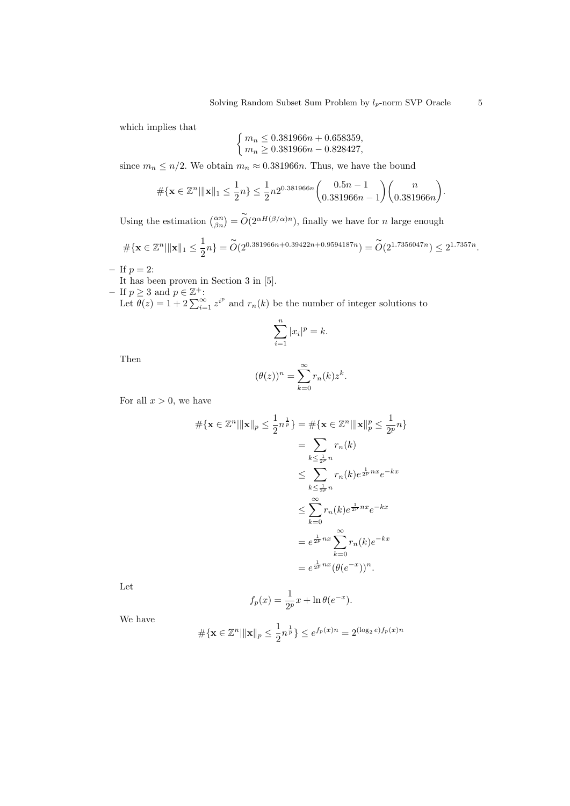which implies that

$$
\begin{cases} m_n \le 0.381966n + 0.658359, \\ m_n \ge 0.381966n - 0.828427, \end{cases}
$$

since  $m_n \leq n/2$ . We obtain  $m_n \approx 0.381966n$ . Thus, we have the bound

$$
\#\{\mathbf{x} \in \mathbb{Z}^n | \|\mathbf{x}\|_1 \le \frac{1}{2}n\} \le \frac{1}{2}n2^{0.381966n} \binom{0.5n-1}{0.381966n-1} \binom{n}{0.381966n}
$$

Using the estimation  $\binom{\alpha n}{\beta n} = \widetilde{O}(2^{\alpha H(\beta/\alpha)n})$ , finally we have for n large enough

$$
\#\{\mathbf{x}\in\mathbb{Z}^n|\|\mathbf{x}\|_1\leq\frac{1}{2}n\}=\widetilde{O}(2^{0.381966n+0.39422n+0.9594187n})=\widetilde{O}(2^{1.7356047n})\leq 2^{1.7357n}.
$$

$$
- \text{ If } p = 2:
$$

It has been proven in Section 3 in [5].

- If  $p \ge 3$  and  $p \in \mathbb{Z}^+$ :<br>Let  $\theta(z) = 1 + 2 \sum_{i=1}^{\infty} z^{i^p}$  and  $r_n(k)$  be the number of integer solutions to

$$
\sum_{i=1}^{n} |x_i|^p = k.
$$

Then

$$
(\theta(z))^n = \sum_{k=0}^{\infty} r_n(k) z^k.
$$

For all  $x > 0$ , we have

$$
\# \{ \mathbf{x} \in \mathbb{Z}^n | \|\mathbf{x}\|_p \le \frac{1}{2} n^{\frac{1}{p}} \} = \# \{ \mathbf{x} \in \mathbb{Z}^n | \|\mathbf{x}\|_p^p \le \frac{1}{2^p} n \}
$$

$$
= \sum_{k \le \frac{1}{2^p} n} r_n(k)
$$

$$
\le \sum_{k \le \frac{1}{2^p} n} r_n(k) e^{\frac{1}{2^p} nx} e^{-kx}
$$

$$
\le \sum_{k=0}^{\infty} r_n(k) e^{\frac{1}{2^p} nx} e^{-kx}
$$

$$
= e^{\frac{1}{2^p} nx} \sum_{k=0}^{\infty} r_n(k) e^{-kx}
$$

$$
= e^{\frac{1}{2^p} nx} (\theta(e^{-x}))^n.
$$

Let

$$
f_p(x) = \frac{1}{2^p}x + \ln \theta(e^{-x}).
$$

We have

$$
\#\{\mathbf{x} \in \mathbb{Z}^n | \|\mathbf{x}\|_p \le \frac{1}{2}n^{\frac{1}{p}}\} \le e^{f_p(x)n} = 2^{(\log_2 e)f_p(x)n}
$$

.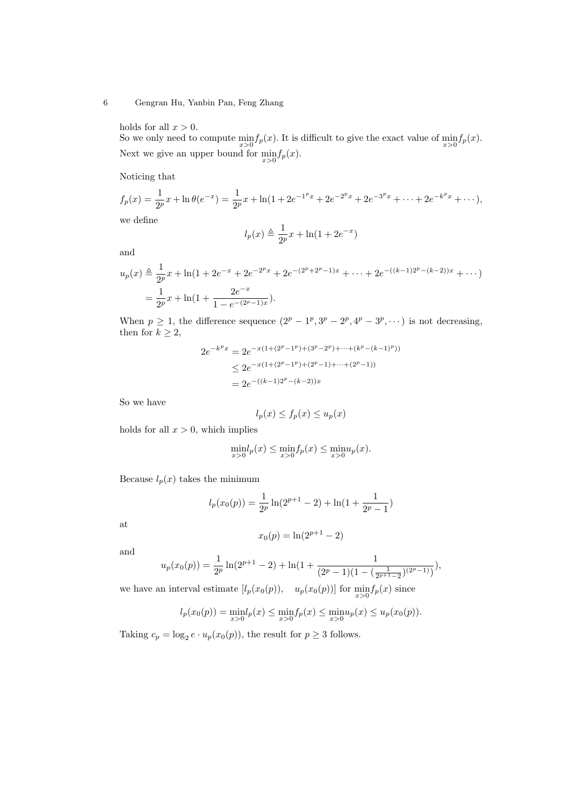holds for all  $x > 0$ .

So we only need to compute  $\min_{x>0} f_p(x)$ . It is difficult to give the exact value of  $\min_{x>0} f_p(x)$ . Next we give an upper bound for  $\min_{x>0} f_p(x)$ .

Noticing that

$$
f_p(x) = \frac{1}{2^p}x + \ln \theta(e^{-x}) = \frac{1}{2^p}x + \ln(1 + 2e^{-1^px} + 2e^{-2^px} + 2e^{-3^px} + \dots + 2e^{-k^px} + \dots),
$$
  
we define  

$$
l_p(x) \triangleq \frac{1}{2^p}x + \ln(1 + 2e^{-x})
$$

and

$$
u_p(x) \triangleq \frac{1}{2^p} x + \ln(1 + 2e^{-x} + 2e^{-2^p x} + 2e^{-(2^p + 2^p - 1)x} + \dots + 2e^{-(k-1)2^p - (k-2)x} + \dots)
$$
  
= 
$$
\frac{1}{2^p} x + \ln(1 + \frac{2e^{-x}}{1 - e^{-(2^p - 1)x}}).
$$

When  $p \geq 1$ , the difference sequence  $(2^p - 1^p, 3^p - 2^p, 4^p - 3^p, \cdots)$  is not decreasing, then for  $k \geq 2$ ,

$$
2e^{-k^p x} = 2e^{-x(1+(2^p-1^p)+(3^p-2^p)+\cdots+(k^p-(k-1)^p))}
$$
  
\n
$$
\leq 2e^{-x(1+(2^p-1^p)+(2^p-1)+\cdots+(2^p-1))}
$$
  
\n
$$
= 2e^{-((k-1)2^p-(k-2))x}
$$

So we have

$$
l_p(x) \le f_p(x) \le u_p(x)
$$

holds for all  $x > 0$ , which implies

$$
\min_{x>0} l_p(x) \le \min_{x>0} f_p(x) \le \min_{x>0} u_p(x).
$$

Because  $l_p(x)$  takes the minimum

$$
l_p(x_0(p)) = \frac{1}{2^p} \ln(2^{p+1} - 2) + \ln(1 + \frac{1}{2^p - 1})
$$

at

$$
x_0(p) = \ln(2^{p+1} - 2)
$$

and

$$
u_p(x_0(p)) = \frac{1}{2^p} \ln(2^{p+1} - 2) + \ln(1 + \frac{1}{(2^p - 1)(1 - (\frac{1}{2^{p+1} - 2})(2^p - 1)})
$$

we have an interval estimate  $[l_p(x_0(p)), \quad u_p(x_0(p))]$  for  $\min_{x>0} f_p(x)$  since

$$
l_p(x_0(p)) = \min_{x>0} l_p(x) \le \min_{x>0} f_p(x) \le \min_{x>0} u_p(x) \le u_p(x_0(p)).
$$

Taking  $c_p = \log_2 e \cdot u_p(x_0(p))$ , the result for  $p \geq 3$  follows.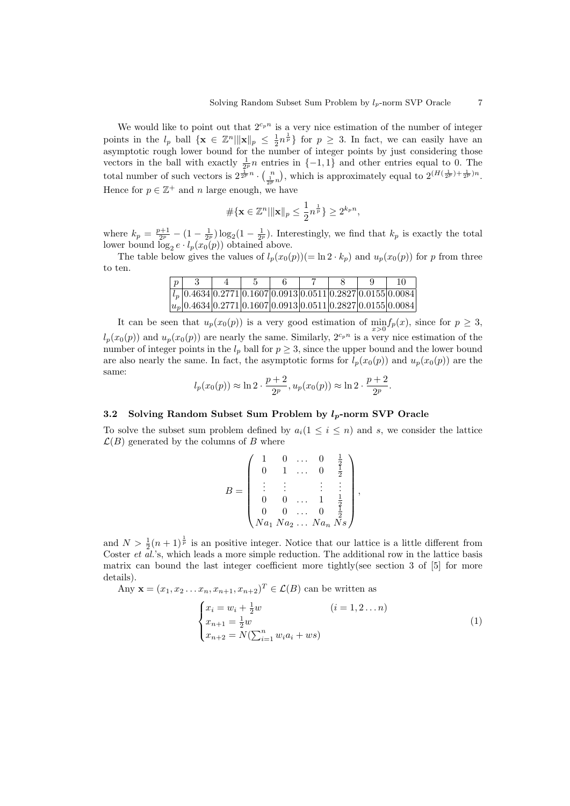We would like to point out that  $2^{c_p n}$  is a very nice estimation of the number of integer points in the  $l_p$  ball  $\{x \in \mathbb{Z}^n | ||x||_p \leq \frac{1}{2}n^{\frac{1}{p}}\}$  for  $p \geq 3$ . In fact, we can easily have an asymptotic rough lower bound for the number of integer points by just considering those vectors in the ball with exactly  $\frac{1}{2^p}n$  entries in  $\{-1,1\}$  and other entries equal to 0. The total number of such vectors is  $2^{\frac{1}{2p}n} \cdot \left(\frac{n}{\frac{1}{2p}n}\right)$ to the is approximately equal to  $2(H(\frac{1}{2^p})+\frac{1}{2^p})^n$ . Hence for  $p \in \mathbb{Z}^+$  and n large enough, we have

$$
\#\{\mathbf{x}\in\mathbb{Z}^n|\|\mathbf{x}\|_p\leq\frac{1}{2}n^{\frac{1}{p}}\}\geq 2^{k_p n},
$$

where  $k_p = \frac{p+1}{2^p} - (1 - \frac{1}{2^p}) \log_2(1 - \frac{1}{2^p})$ . Interestingly, we find that  $k_p$  is exactly the total lower bound  $\log_2 e \cdot l_p(x_0(p))$  obtained above.

The table below gives the values of  $l_p(x_0(p)) (= \ln 2 \cdot k_p)$  and  $u_p(x_0(p))$  for p from three to ten.

| $\boldsymbol{\eta}$ |  |  |  | 10                                                                                                                       |
|---------------------|--|--|--|--------------------------------------------------------------------------------------------------------------------------|
|                     |  |  |  | $\left l_{n}\right 0.4634\left 0.2771\left 0.1607\right 0.0913\left 0.0511\right 0.2827\left 0.0155\right 0.0084\right $ |
|                     |  |  |  | $ u_n $ 0.4634 $ 0.2771 0.1607 0.0913 0.0511 0.2827 0.0155 0.0084 $                                                      |

It can be seen that  $u_p(x_0(p))$  is a very good estimation of  $\min_{x>0} f_p(x)$ , since for  $p \geq 3$ ,  $l_p(x_0(p))$  and  $u_p(x_0(p))$  are nearly the same. Similarly,  $2^{c_p n}$  is a very nice estimation of the number of integer points in the  $l_p$  ball for  $p \geq 3$ , since the upper bound and the lower bound are also nearly the same. In fact, the asymptotic forms for  $l_p(x_0(p))$  and  $u_p(x_0(p))$  are the same:

$$
l_p(x_0(p)) \approx \ln 2 \cdot \frac{p+2}{2^p}, u_p(x_0(p)) \approx \ln 2 \cdot \frac{p+2}{2^p}.
$$

# 3.2 Solving Random Subset Sum Problem by  $l_p$ -norm SVP Oracle

To solve the subset sum problem defined by  $a_i(1 \leq i \leq n)$  and s, we consider the lattice  $\mathcal{L}(B)$  generated by the columns of B where

$$
B = \begin{pmatrix} 1 & 0 & \dots & 0 & \frac{1}{2} \\ 0 & 1 & \dots & 0 & \frac{1}{2} \\ \vdots & \vdots & & \vdots & \vdots \\ 0 & 0 & \dots & 1 & \frac{1}{2} \\ 0 & 0 & \dots & 0 & \frac{1}{2} \\ Na_1\,Na_2\,\dots\,Na_n\,Ns \end{pmatrix},
$$

and  $N > \frac{1}{2}(n+1)^{\frac{1}{p}}$  is an positive integer. Notice that our lattice is a little different from Coster *et al.*'s, which leads a more simple reduction. The additional row in the lattice basis matrix can bound the last integer coefficient more tightly(see section 3 of [5] for more details).

Any  $\mathbf{x} = (x_1, x_2 \dots x_n, x_{n+1}, x_{n+2})^T \in \mathcal{L}(B)$  can be written as

$$
\begin{cases}\n x_i = w_i + \frac{1}{2}w & (i = 1, 2...n) \\
x_{n+1} = \frac{1}{2}w & (i = 1, 2...n) \\
x_{n+2} = N(\sum_{i=1}^n w_i a_i + ws)\n\end{cases}
$$
\n(1)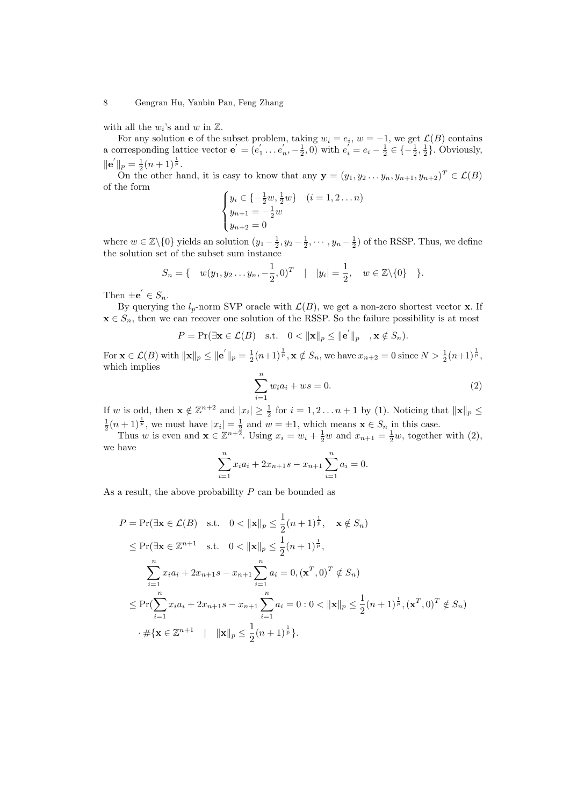with all the  $w_i$ 's and w in  $\mathbb{Z}$ .

For any solution **e** of the subset problem, taking  $w_i = e_i$ ,  $w = -1$ , we get  $\mathcal{L}(B)$  contains a corresponding lattice vector  $\mathbf{e}' = (e'_1 \dots e'_n, -\frac{1}{2}, 0)$  with  $e'_i = e_i - \frac{1}{2} \in \{-\frac{1}{2}, \frac{1}{2}\}.$  Obviously,  $\|\mathbf{e}^{'}\|_{p} = \frac{1}{2}(n+1)^{\frac{1}{p}}.$ 

 $\mathbb{R}^p$  =  $_2$ ( $\mathbb{R}$  + 1)<sup>2</sup>.<br>On the other hand, it is easy to know that any  $\mathbf{y} = (y_1, y_2 \dots y_n, y_{n+1}, y_{n+2})^T \in \mathcal{L}(B)$ of the form  $\overline{a}$ 

$$
\begin{cases} y_i \in \{-\frac{1}{2}w, \frac{1}{2}w\} & (i = 1, 2 \dots n) \\ y_{n+1} = -\frac{1}{2}w \\ y_{n+2} = 0 \end{cases}
$$

where  $w \in \mathbb{Z}\backslash\{0\}$  yields an solution  $(y_1 - \frac{1}{2}, y_2 - \frac{1}{2}, \dots, y_n - \frac{1}{2})$  of the RSSP. Thus, we define the solution set of the subset sum instance

$$
S_n = \{ w(y_1, y_2 \dots y_n, -\frac{1}{2}, 0)^T | |y_i| = \frac{1}{2}, w \in \mathbb{Z} \setminus \{0\} \}.
$$

Then  $\pm \mathbf{e}' \in S_n$ .

By querying the  $l_p$ -norm SVP oracle with  $\mathcal{L}(B)$ , we get a non-zero shortest vector **x**. If  $\mathbf{x} \in S_n$ , then we can recover one solution of the RSSP. So the failure possibility is at most

$$
P = \Pr(\exists \mathbf{x} \in \mathcal{L}(B) \quad \text{s.t.} \quad 0 < \|\mathbf{x}\|_p \le \|\mathbf{e}^{'}\|_p \quad , \mathbf{x} \notin S_n).
$$

For  $\mathbf{x} \in \mathcal{L}(B)$  with  $\|\mathbf{x}\|_p \le \|\mathbf{e}^{'}\|_p = \frac{1}{2}(n+1)^{\frac{1}{p}}, \mathbf{x} \notin S_n$ , we have  $x_{n+2} = 0$  since  $N > \frac{1}{2}(n+1)^{\frac{1}{p}}$ , which implies

$$
\sum_{i=1}^{n} w_i a_i + ws = 0.
$$
 (2)

If w is odd, then  $\mathbf{x} \notin \mathbb{Z}^{n+2}$  and  $|x_i| \geq \frac{1}{2}$  for  $i = 1, 2 \dots n+1$  by (1). Noticing that  $\|\mathbf{x}\|_p \leq$  $\frac{1}{2}(n+1)^{\frac{1}{p}}$ , we must have  $|x_i| = \frac{1}{2}$  and  $w = \pm 1$ , which means  $\mathbf{x} \in S_n$  in this case.

Thus w is even and  $\mathbf{x} \in \mathbb{Z}^{n+\tilde{2}}$ . Using  $x_i = w_i + \frac{1}{2}w$  and  $x_{n+1} = \frac{1}{2}w$ , together with  $(2)$ , we have

$$
\sum_{i=1}^{n} x_i a_i + 2x_{n+1} s - x_{n+1} \sum_{i=1}^{n} a_i = 0.
$$

As a result, the above probability  $P$  can be bounded as

$$
P = \Pr(\exists \mathbf{x} \in \mathcal{L}(B) \text{ s.t. } 0 < \|\mathbf{x}\|_{p} \leq \frac{1}{2}(n+1)^{\frac{1}{p}}, \quad \mathbf{x} \notin S_{n})
$$
\n
$$
\leq \Pr(\exists \mathbf{x} \in \mathbb{Z}^{n+1} \text{ s.t. } 0 < \|\mathbf{x}\|_{p} \leq \frac{1}{2}(n+1)^{\frac{1}{p}},
$$
\n
$$
\sum_{i=1}^{n} x_{i}a_{i} + 2x_{n+1}s - x_{n+1} \sum_{i=1}^{n} a_{i} = 0, (\mathbf{x}^{T}, 0)^{T} \notin S_{n})
$$
\n
$$
\leq \Pr(\sum_{i=1}^{n} x_{i}a_{i} + 2x_{n+1}s - x_{n+1} \sum_{i=1}^{n} a_{i} = 0 : 0 < \|\mathbf{x}\|_{p} \leq \frac{1}{2}(n+1)^{\frac{1}{p}}, (\mathbf{x}^{T}, 0)^{T} \notin S_{n})
$$
\n
$$
\cdot \# \{\mathbf{x} \in \mathbb{Z}^{n+1} \mid \|\mathbf{x}\|_{p} \leq \frac{1}{2}(n+1)^{\frac{1}{p}}\}.
$$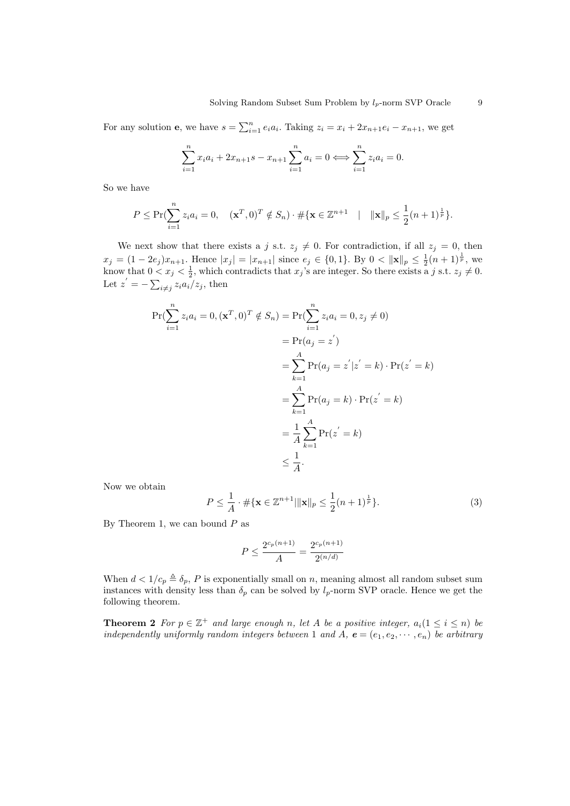For any solution **e**, we have  $s = \sum_{i=1}^{n} e_i a_i$ . Taking  $z_i = x_i + 2x_{n+1}e_i - x_{n+1}$ , we get

$$
\sum_{i=1}^{n} x_i a_i + 2x_{n+1} s - x_{n+1} \sum_{i=1}^{n} a_i = 0 \iff \sum_{i=1}^{n} z_i a_i = 0.
$$

So we have

$$
P \leq \Pr(\sum_{i=1}^{n} z_i a_i = 0, \quad (\mathbf{x}^T, 0)^T \notin S_n) \cdot \# \{ \mathbf{x} \in \mathbb{Z}^{n+1} \mid \|\mathbf{x}\|_p \leq \frac{1}{2} (n+1)^{\frac{1}{p}} \}.
$$

We next show that there exists a j s.t.  $z_j \neq 0$ . For contradiction, if all  $z_j = 0$ , then  $x_j = (1 - 2e_j)x_{n+1}$ . Hence  $|x_j| = |x_{n+1}|$  since  $e_j \in \{0, 1\}$ . By  $0 < ||\mathbf{x}||_p \leq \frac{1}{2}(n+1)^{\frac{1}{p}}$ , we know that  $0 < x_j < \frac{1}{2}$ , which contradicts that  $x_j$ 's are integer. So there exists a j s.t.  $z_j \neq 0$ . Let  $z' = -\sum_{i \neq j} z_i a_i/z_j$ , then

$$
\Pr(\sum_{i=1}^{n} z_i a_i = 0, (\mathbf{x}^T, 0)^T \notin S_n) = \Pr(\sum_{i=1}^{n} z_i a_i = 0, z_j \neq 0)
$$
  

$$
= \Pr(a_j = z')
$$
  

$$
= \sum_{k=1}^{A} \Pr(a_j = z' | z' = k) \cdot \Pr(z' = k)
$$
  

$$
= \sum_{k=1}^{A} \Pr(a_j = k) \cdot \Pr(z' = k)
$$
  

$$
= \frac{1}{A} \sum_{k=1}^{A} \Pr(z' = k)
$$
  

$$
\leq \frac{1}{A}.
$$

Now we obtain

$$
P \le \frac{1}{A} \cdot \# \{ \mathbf{x} \in \mathbb{Z}^{n+1} | \|\mathbf{x}\|_p \le \frac{1}{2} (n+1)^{\frac{1}{p}} \}.
$$
 (3)

By Theorem 1, we can bound  $P$  as

$$
P \le \frac{2^{c_p(n+1)}}{A} = \frac{2^{c_p(n+1)}}{2^{(n/d)}}
$$

When  $d < 1/c_p \triangleq \delta_p$ , P is exponentially small on n, meaning almost all random subset sum instances with density less than  $\delta_p$  can be solved by  $l_p$ -norm SVP oracle. Hence we get the following theorem.

**Theorem 2** For  $p \in \mathbb{Z}^+$  and large enough n, let A be a positive integer,  $a_i(1 \leq i \leq n)$  be independently uniformly random integers between 1 and A,  $e = (e_1, e_2, \dots, e_n)$  be arbitrary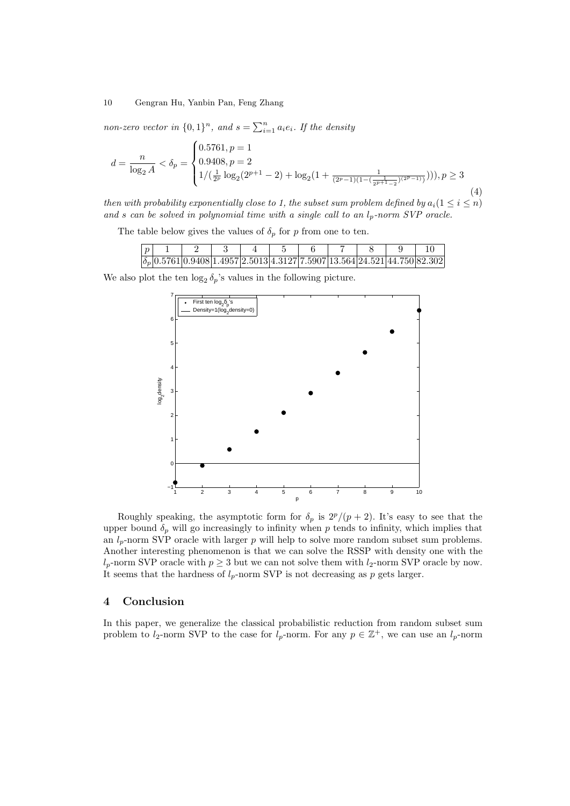non-zero vector in  $\{0,1\}^n$ , and  $s = \sum_{i=1}^n a_i e_i$ . If the density

$$
d = \frac{n}{\log_2 A} < \delta_p = \begin{cases} 0.5761, p = 1 \\ 0.9408, p = 2 \\ 1/(\frac{1}{2^p} \log_2(2^{p+1} - 2) + \log_2(1 + \frac{1}{(2^p - 1)(1 - (\frac{1}{2^{p+1} - 2})^{(2^p - 1)})}))), p \ge 3 \\ \end{cases} \tag{4}
$$

then with probability exponentially close to 1, the subset sum problem defined by  $a_i(1 \leq i \leq n)$ and s can be solved in polynomial time with a single call to an  $l_p$ -norm SVP oracle.

The table below gives the values of  $\delta_p$  for p from one to ten.

|  |  |  |  | $\delta_n$  0.5761 0.9408 1.4957 2.5013 4.3127 7.5907 13.564 24.521 44.750 82.302 |  |
|--|--|--|--|-----------------------------------------------------------------------------------|--|

We also plot the ten  $\log_2 \delta_p$ 's values in the following picture.



Roughly speaking, the asymptotic form for  $\delta_p$  is  $2^p/(p+2)$ . It's easy to see that the upper bound  $\delta_p$  will go increasingly to infinity when p tends to infinity, which implies that an  $l_p$ -norm SVP oracle with larger p will help to solve more random subset sum problems. Another interesting phenomenon is that we can solve the RSSP with density one with the  $l_p$ -norm SVP oracle with  $p \geq 3$  but we can not solve them with  $l_2$ -norm SVP oracle by now. It seems that the hardness of  $l_p$ -norm SVP is not decreasing as p gets larger.

# 4 Conclusion

In this paper, we generalize the classical probabilistic reduction from random subset sum problem to  $l_2$ -norm SVP to the case for  $l_p$ -norm. For any  $p \in \mathbb{Z}^+$ , we can use an  $l_p$ -norm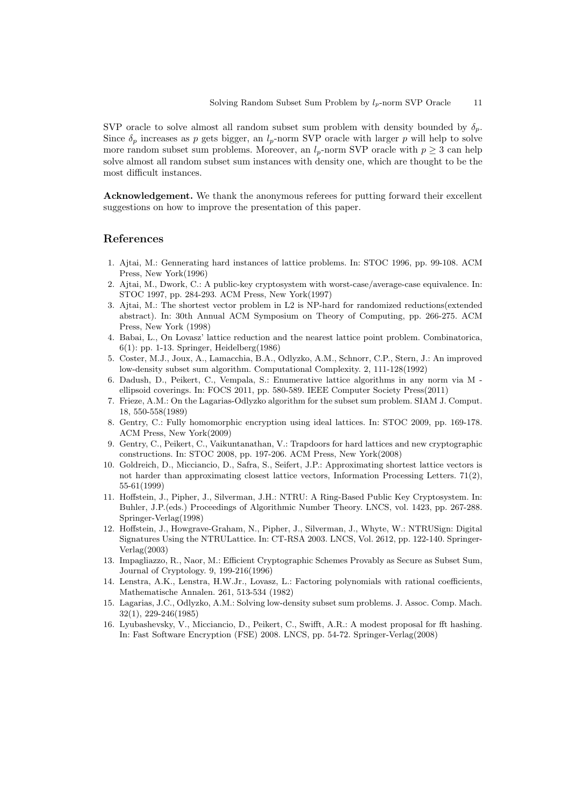SVP oracle to solve almost all random subset sum problem with density bounded by  $\delta_p$ . Since  $\delta_p$  increases as p gets bigger, an  $l_p$ -norm SVP oracle with larger p will help to solve more random subset sum problems. Moreover, an  $l_p$ -norm SVP oracle with  $p \geq 3$  can help solve almost all random subset sum instances with density one, which are thought to be the most difficult instances.

Acknowledgement. We thank the anonymous referees for putting forward their excellent suggestions on how to improve the presentation of this paper.

# References

- 1. Ajtai, M.: Gennerating hard instances of lattice problems. In: STOC 1996, pp. 99-108. ACM Press, New York(1996)
- 2. Ajtai, M., Dwork, C.: A public-key cryptosystem with worst-case/average-case equivalence. In: STOC 1997, pp. 284-293. ACM Press, New York(1997)
- 3. Ajtai, M.: The shortest vector problem in L2 is NP-hard for randomized reductions(extended abstract). In: 30th Annual ACM Symposium on Theory of Computing, pp. 266-275. ACM Press, New York (1998)
- 4. Babai, L., On Lovasz' lattice reduction and the nearest lattice point problem. Combinatorica, 6(1): pp. 1-13. Springer, Heidelberg(1986)
- 5. Coster, M.J., Joux, A., Lamacchia, B.A., Odlyzko, A.M., Schnorr, C.P., Stern, J.: An improved low-density subset sum algorithm. Computational Complexity. 2, 111-128(1992)
- 6. Dadush, D., Peikert, C., Vempala, S.: Enumerative lattice algorithms in any norm via M ellipsoid coverings. In: FOCS 2011, pp. 580-589. IEEE Computer Society Press(2011)
- 7. Frieze, A.M.: On the Lagarias-Odlyzko algorithm for the subset sum problem. SIAM J. Comput. 18, 550-558(1989)
- 8. Gentry, C.: Fully homomorphic encryption using ideal lattices. In: STOC 2009, pp. 169-178. ACM Press, New York(2009)
- 9. Gentry, C., Peikert, C., Vaikuntanathan, V.: Trapdoors for hard lattices and new cryptographic constructions. In: STOC 2008, pp. 197-206. ACM Press, New York(2008)
- 10. Goldreich, D., Micciancio, D., Safra, S., Seifert, J.P.: Approximating shortest lattice vectors is not harder than approximating closest lattice vectors, Information Processing Letters. 71(2), 55-61(1999)
- 11. Hoffstein, J., Pipher, J., Silverman, J.H.: NTRU: A Ring-Based Public Key Cryptosystem. In: Buhler, J.P.(eds.) Proceedings of Algorithmic Number Theory. LNCS, vol. 1423, pp. 267-288. Springer-Verlag(1998)
- 12. Hoffstein, J., Howgrave-Graham, N., Pipher, J., Silverman, J., Whyte, W.: NTRUSign: Digital Signatures Using the NTRULattice. In: CT-RSA 2003. LNCS, Vol. 2612, pp. 122-140. Springer-Verlag(2003)
- 13. Impagliazzo, R., Naor, M.: Efficient Cryptographic Schemes Provably as Secure as Subset Sum, Journal of Cryptology. 9, 199-216(1996)
- 14. Lenstra, A.K., Lenstra, H.W.Jr., Lovasz, L.: Factoring polynomials with rational coefficients, Mathematische Annalen. 261, 513-534 (1982)
- 15. Lagarias, J.C., Odlyzko, A.M.: Solving low-density subset sum problems. J. Assoc. Comp. Mach. 32(1), 229-246(1985)
- 16. Lyubashevsky, V., Micciancio, D., Peikert, C., Swifft, A.R.: A modest proposal for fft hashing. In: Fast Software Encryption (FSE) 2008. LNCS, pp. 54-72. Springer-Verlag(2008)